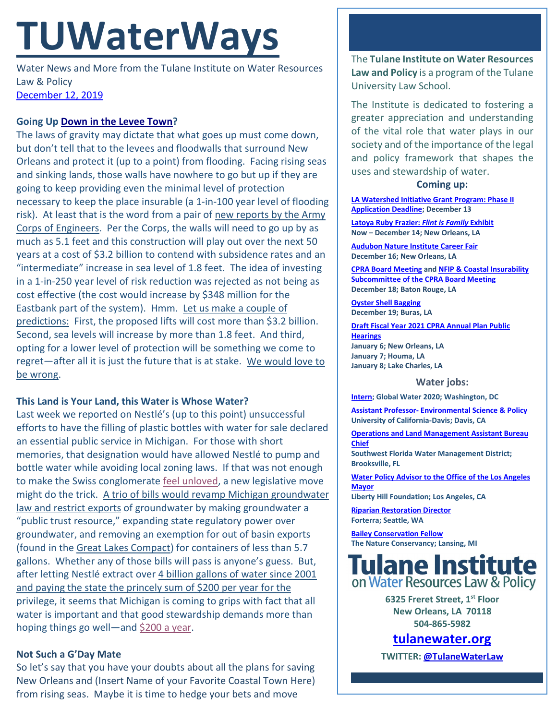# **TUWaterWays**

Water News and More from the Tulane Institute on Water Resources Law & Policy [December 12, 2019](https://thisdayinwaterhistory.wordpress.com/)

## **Going Up [Down in the Levee Town?](https://www.youtube.com/watch?v=vx4fSJAuFys)**

The laws of gravity may dictate that what goes up must come down, but don't tell that to the levees and floodwalls that surround New Orleans and protect it (up to a point) from flooding. Facing rising seas and sinking lands, those walls have nowhere to go but up if they are going to keep providing even the minimal level of protection necessary to keep the place insurable (a 1-in-100 year level of flooding risk). At least that is the word from a pair of new reports by the Army [Corps of Engineers.](https://www.nola.com/news/environment/article_a160ff42-1ace-11ea-bd3b-cbcf2a74b089.html) Per the Corps, the walls will need to go up by as much as 5.1 feet and this construction will play out over the next 50 years at a cost of \$3.2 billion to contend with subsidence rates and an "intermediate" increase in sea level of 1.8 feet. The idea of investing in a 1-in-250 year level of risk reduction was rejected as not being as cost effective (the cost would increase by \$348 million for the Eastbank part of the system). Hmm. [Let us make a couple of](https://media.giphy.com/media/CToJzvhONI6A0/giphy.gif)  [predictions:](https://media.giphy.com/media/CToJzvhONI6A0/giphy.gif) First, the proposed lifts will cost more than \$3.2 billion. Second, sea levels will increase by more than 1.8 feet. And third, opting for a lower level of protection will be something we come to regret—after all it is just the future that is at stake. [We would love to](https://www.youtube.com/watch?v=7Vis8Aaekpw&feature=youtu.be)  [be wrong.](https://www.youtube.com/watch?v=7Vis8Aaekpw&feature=youtu.be)

### **This Land is Your Land, this Water is Whose Water?**

Last week we reported on Nestlé's (up to this point) unsuccessful efforts to have the filling of plastic bottles with water for sale declared an essential public service in Michigan. For those with short memories, that designation would have allowed Nestlé to pump and bottle water while avoiding local zoning laws. If that was not enough to make the Swiss conglomerate [feel unloved,](https://pbs.twimg.com/media/DVIsZINX4AUakFP.jpg) a new legislative move might do the trick. A trio of [bills would revamp Michigan groundwater](https://www.mlive.com/news/2019/12/bills-would-ban-nestle-from-distributing-michigan-water-outside-great-lakes-watershed.html)  [law and restrict exports](https://www.mlive.com/news/2019/12/bills-would-ban-nestle-from-distributing-michigan-water-outside-great-lakes-watershed.html) of groundwater by making groundwater a "public trust resource," expanding state regulatory power over groundwater, and removing an exemption for out of basin exports (found in the [Great Lakes Compact\)](https://en.wikipedia.org/wiki/Great_Lakes_Compact) for containers of less than 5.7 gallons. Whether any of those bills will pass is anyone's guess. But, after letting Nestlé extract over 4 billion gallons of water since 2001 [and paying the state the princely sum of \\$200 per year for the](http://flowforwater.org/not-fast-nestle/)  [privilege,](http://flowforwater.org/not-fast-nestle/) it seems that Michigan is coming to grips with fact that all water is important and that good stewardship demands more than hoping things go well—and [\\$200 a year.](https://media.giphy.com/media/l41lTUNOhjFUzrpv2/giphy.gif)

### **Not Such a G'Day Mate**

So let's say that you have your doubts about all the plans for saving New Orleans and (Insert Name of your Favorite Coastal Town Here) from rising seas. Maybe it is time to hedge your bets and move

The **Tulane Institute on Water Resources Law and Policy** is a program of the Tulane University Law School.

The Institute is dedicated to fostering a greater appreciation and understanding of the vital role that water plays in our society and of the importance of the legal and policy framework that shapes the uses and stewardship of water.

#### **Coming up:**

**[LA Watershed Initiative Grant Program: Phase II](https://www.watershed.la.gov/calendar/event/807/)  [Application Deadline;](https://www.watershed.la.gov/calendar/event/807/) December 13**

**[Latoya Ruby Frazier:](https://newcombartmuseum.tulane.edu/portfolio-item/flintisfamily/)** *Flint is Family* **Exhibit Now – December 14; New Orleans, LA**

**[Audubon Nature Institute Career Fair](https://www.facebook.com/events/702026303640178/) December 16; New Orleans, LA**

**[CPRA Board Meeting](http://coastal.la.gov/calendar/) an[d NFIP & Coastal Insurability](http://coastal.la.gov/calendar/)  [Subcommittee of the CPRA Board Meeting](http://coastal.la.gov/calendar/) December 18; Baton Rouge, LA**

**[Oyster Shell Bagging](https://www.eventbrite.com/e/oyster-shell-bagging-coastal-louisiana-reef-restoration-thursday-december-19-dartmouth-and-public-tickets-71566185387) December 19; Buras, LA**

**[Draft Fiscal Year 2021 CPRA Annual Plan Public](http://coastal.la.gov/calendar/)  [Hearings](http://coastal.la.gov/calendar/) January 6; New Orleans, LA January 7; Houma, LA January 8; Lake Charles, LA**

#### **Water jobs:**

**[Intern;](http://globalwater2020.org/uploads/1/1/3/9/113995541/gw2020_spring_2020_intern_description.pdf) Global Water 2020; Washington, DC**

**Assistant Professor- [Environmental Science & Policy](https://recruit.ucdavis.edu/JPF03187) University of California-Davis; Davis, CA**

**Operations and [Land Management Assistant Bureau](https://recruiting.ultipro.com/SOU1043SWF/JobBoard/cd4cc6be-5e48-4f5e-b258-70fc16d0d484/OpportunityDetail?opportunityId=c17df2d9-4bcf-4cd2-ba8e-4e6ef7f6a262)  [Chief](https://recruiting.ultipro.com/SOU1043SWF/JobBoard/cd4cc6be-5e48-4f5e-b258-70fc16d0d484/OpportunityDetail?opportunityId=c17df2d9-4bcf-4cd2-ba8e-4e6ef7f6a262)**

**Southwest Florida Water Management District; Brooksville, FL**

**[Water Policy Advisor to the Office of the Los Angeles](https://www.joshswaterjobs.com/jobs/18992)  [Mayor](https://www.joshswaterjobs.com/jobs/18992)**

**Liberty Hill Foundation; Los Angeles, CA**

**[Riparian Restoration Director](https://forterra.applytojob.com/apply/6Lu5Prqyhs/Riparian-Restoration-Director) Forterra; Seattle, WA**

**[Bailey Conservation Fellow](https://careers.nature.org/psp/tnccareers/APPLICANT/APPL/c/HRS_HRAM.HRS_APP_SCHJOB.GBL?Page=HRS_APP_JBPST&Action=U&FOCUS=Applicant&SiteId=1&JobOpeningId=48244&PostingSeq=1) The Nature Conservancy; Lansing, MI**



**6325 Freret Street, 1st Floor New Orleans, LA 70118 504-865-5982** 

# **tulanewater.org**

**TWITTER[: @TulaneWaterLaw](http://www.twitter.com/TulaneWaterLaw)**